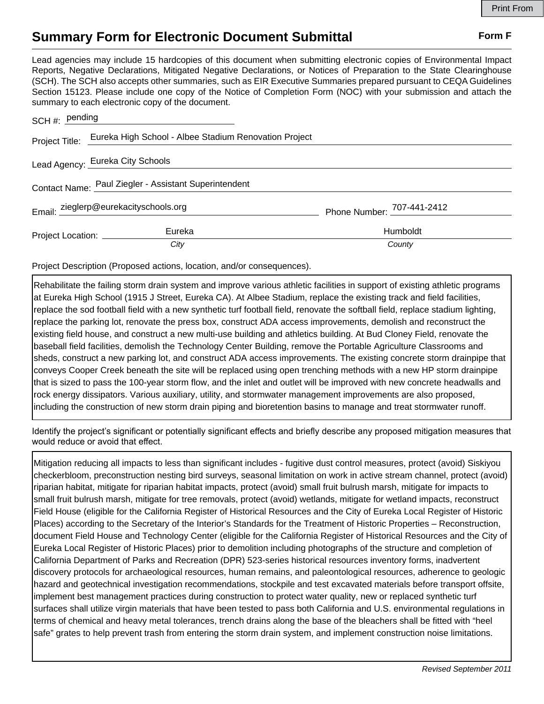## **Summary Form for Electronic Document Submittal Form F Form F**

Lead agencies may include 15 hardcopies of this document when submitting electronic copies of Environmental Impact Reports, Negative Declarations, Mitigated Negative Declarations, or Notices of Preparation to the State Clearinghouse (SCH). The SCH also accepts other summaries, such as EIR Executive Summaries prepared pursuant to CEQA Guidelines Section 15123. Please include one copy of the Notice of Completion Form (NOC) with your submission and attach the summary to each electronic copy of the document.

| SCH #: $pending$                                      |                                                       |                            |
|-------------------------------------------------------|-------------------------------------------------------|----------------------------|
| Project Title:                                        | Eureka High School - Albee Stadium Renovation Project |                            |
|                                                       | Lead Agency: Eureka City Schools                      |                            |
| Contact Name: Paul Ziegler - Assistant Superintendent |                                                       |                            |
| Email: zieglerp@eurekacityschools.org                 |                                                       | Phone Number: 707-441-2412 |
| Project Location: _________                           | Eureka                                                | <b>Humboldt</b>            |
|                                                       | City                                                  | County                     |

Project Description (Proposed actions, location, and/or consequences).

Rehabilitate the failing storm drain system and improve various athletic facilities in support of existing athletic programs at Eureka High School (1915 J Street, Eureka CA). At Albee Stadium, replace the existing track and field facilities, replace the sod football field with a new synthetic turf football field, renovate the softball field, replace stadium lighting, replace the parking lot, renovate the press box, construct ADA access improvements, demolish and reconstruct the existing field house, and construct a new multi-use building and athletics building. At Bud Cloney Field, renovate the baseball field facilities, demolish the Technology Center Building, remove the Portable Agriculture Classrooms and sheds, construct a new parking lot, and construct ADA access improvements. The existing concrete storm drainpipe that conveys Cooper Creek beneath the site will be replaced using open trenching methods with a new HP storm drainpipe that is sized to pass the 100-year storm flow, and the inlet and outlet will be improved with new concrete headwalls and rock energy dissipators. Various auxiliary, utility, and stormwater management improvements are also proposed, including the construction of new storm drain piping and bioretention basins to manage and treat stormwater runoff.

Identify the project's significant or potentially significant effects and briefly describe any proposed mitigation measures that would reduce or avoid that effect.

Mitigation reducing all impacts to less than significant includes - fugitive dust control measures, protect (avoid) Siskiyou checkerbloom, preconstruction nesting bird surveys, seasonal limitation on work in active stream channel, protect (avoid) riparian habitat, mitigate for riparian habitat impacts, protect (avoid) small fruit bulrush marsh, mitigate for impacts to small fruit bulrush marsh, mitigate for tree removals, protect (avoid) wetlands, mitigate for wetland impacts, reconstruct Field House (eligible for the California Register of Historical Resources and the City of Eureka Local Register of Historic Places) according to the Secretary of the Interior's Standards for the Treatment of Historic Properties – Reconstruction, document Field House and Technology Center (eligible for the California Register of Historical Resources and the City of Eureka Local Register of Historic Places) prior to demolition including photographs of the structure and completion of California Department of Parks and Recreation (DPR) 523-series historical resources inventory forms, inadvertent discovery protocols for archaeological resources, human remains, and paleontological resources, adherence to geologic hazard and geotechnical investigation recommendations, stockpile and test excavated materials before transport offsite, implement best management practices during construction to protect water quality, new or replaced synthetic turf surfaces shall utilize virgin materials that have been tested to pass both California and U.S. environmental regulations in terms of chemical and heavy metal tolerances, trench drains along the base of the bleachers shall be fitted with "heel safe" grates to help prevent trash from entering the storm drain system, and implement construction noise limitations.